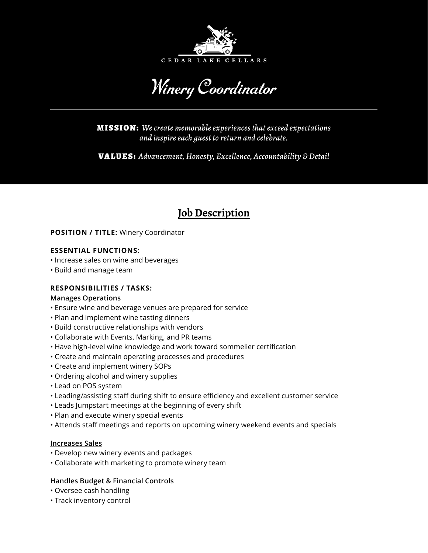

Winery Coordinator

MISSION: *We create memorable experiences that exceed expectations and inspire each guest to return and celebrate.*

VALUES: *Advancement, Honesty, Excellence, Accountability & Detail*

# **Job Description**

**POSITION / TITLE:** Winery Coordinator

## **ESSENTIAL FUNCTIONS:**

- Increase sales on wine and beverages
- Build and manage team

## **RESPONSIBILITIES / TASKS:**

## **Manages Operations**

- Ensure wine and beverage venues are prepared for service
- Plan and implement wine tasting dinners
- Build constructive relationships with vendors
- Collaborate with Events, Marking, and PR teams
- Have high-level wine knowledge and work toward sommelier certification
- Create and maintain operating processes and procedures
- Create and implement winery SOPs
- Ordering alcohol and winery supplies
- Lead on POS system
- Leading/assisting staff during shift to ensure efficiency and excellent customer service
- Leads Jumpstart meetings at the beginning of every shift
- Plan and execute winery special events
- Attends staff meetings and reports on upcoming winery weekend events and specials

#### **Increases Sales**

- Develop new winery events and packages
- Collaborate with marketing to promote winery team

## **Handles Budget & Financial Controls**

- Oversee cash handling
- Track inventory control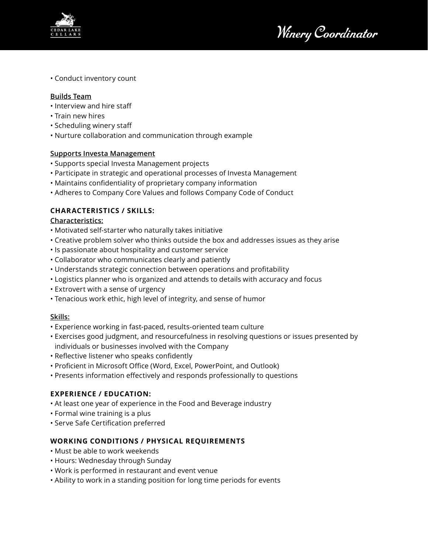

Winery Coordinator

• Conduct inventory count

#### **Builds Team**

- Interview and hire staff
- Train new hires
- Scheduling winery staff
- Nurture collaboration and communication through example

#### **Supports Investa Management**

- Supports special Investa Management projects
- Participate in strategic and operational processes of Investa Management
- Maintains confidentiality of proprietary company information
- Adheres to Company Core Values and follows Company Code of Conduct

## **CHARACTERISTICS / SKILLS:**

#### **Characteristics:**

- Motivated self-starter who naturally takes initiative
- Creative problem solver who thinks outside the box and addresses issues as they arise
- Is passionate about hospitality and customer service
- Collaborator who communicates clearly and patiently
- Understands strategic connection between operations and profitability
- Logistics planner who is organized and attends to details with accuracy and focus
- Extrovert with a sense of urgency
- Tenacious work ethic, high level of integrity, and sense of humor

#### **Skills:**

- Experience working in fast-paced, results-oriented team culture
- Exercises good judgment, and resourcefulness in resolving questions or issues presented by individuals or businesses involved with the Company
- Reflective listener who speaks confidently
- Proficient in Microsoft Office (Word, Excel, PowerPoint, and Outlook)
- Presents information effectively and responds professionally to questions

## **EXPERIENCE / EDUCATION:**

- At least one year of experience in the Food and Beverage industry
- Formal wine training is a plus
- Serve Safe Certification preferred

## **WORKING CONDITIONS / PHYSICAL REQUIREMENTS**

- Must be able to work weekends
- Hours: Wednesday through Sunday
- Work is performed in restaurant and event venue
- Ability to work in a standing position for long time periods for events